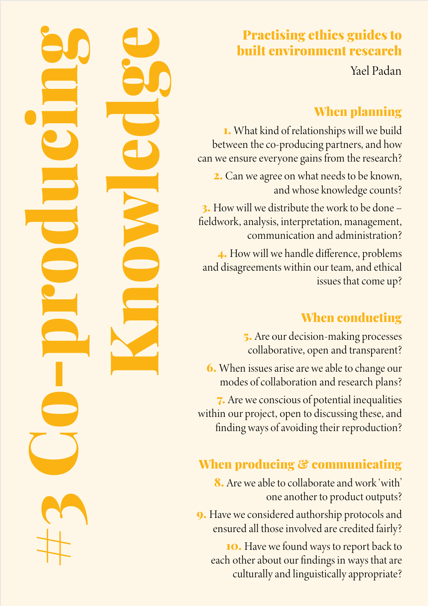## Practising ethics guides to built environment research

Yael Padan

## When planning

1. What kind of relationships will we build between the co-producing partners, and how can we ensure everyone gains from the research?

2. Can we agree on what needs to be known, and whose knowledge counts?

3. How will we distribute the work to be done – fieldwork, analysis, interpretation, management, communication and administration?

4. How will we handle difference, problems and disagreements within our team, and ethical issues that come up?

#3 Co-producing

Knowledge

## When conducting

5. Are our decision-making processes collaborative, open and transparent?

6. When issues arise are we able to change our modes of collaboration and research plans?

7. Are we conscious of potential inequalities within our project, open to discussing these, and finding ways of avoiding their reproduction?

# When producing & communicating

8. Are we able to collaborate and work 'with' one another to product outputs?

9. Have we considered authorship protocols and ensured all those involved are credited fairly?

10. Have we found ways to report back to each other about our findings in ways that are culturally and linguistically appropriate?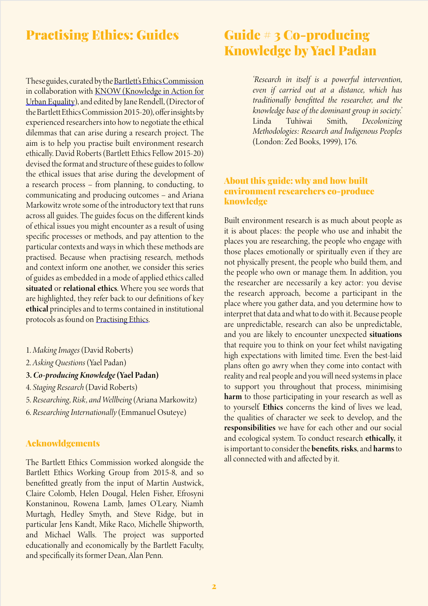### Practising Ethics: Guides

These guides, curated by the Bartlett's Ethics Commission in collaboration with KNOW (Knowledge in Action for Urban Equality), and edited by Jane Rendell, (Director of the Bartlett Ethics Commission 2015-20), offer insights by experienced researchers into how to negotiate the ethical dilemmas that can arise during a research project. The aim is to help you practise built environment research ethically. David Roberts (Bartlett Ethics Fellow 2015-20) devised the format and structure of these guides to follow the ethical issues that arise during the development of a research process – from planning, to conducting, to communicating and producing outcomes – and Ariana Markowitz wrote some of the introductory text that runs across all guides. The guides focus on the different kinds of ethical issues you might encounter as a result of using specific processes or methods, and pay attention to the particular contexts and ways in which these methods are practised. Because when practising research, methods and context inform one another, we consider this series of guides as embedded in a mode of applied ethics called situated or relational ethics. Where you see words that are highlighted, they refer back to our definitions of key ethical principles and to terms contained in institutional protocols as found on [Practising Ethics.](http://practisingethics.org)

- 1. *Making Images* (David Roberts)
- 2. *Asking Questions* (Yael Padan)
- 3. *Co-producing Knowledge* (Yael Padan)
- 4. *Staging Research* (David Roberts)
- 5. *Researching, Risk, and Wellbeing* (Ariana Markowitz)
- 6. *Researching Internationally* (Emmanuel Osuteye)

#### Acknowldgements

The Bartlett Ethics Commission worked alongside the Bartlett Ethics Working Group from 2015-8, and so benefitted greatly from the input of Martin Austwick, Claire Colomb, Helen Dougal, Helen Fisher, Efrosyni Konstaninou, Rowena Lamb, James O'Leary, Niamh Murtagh, Hedley Smyth, and Steve Ridge, but in particular Jens Kandt, Mike Raco, Michelle Shipworth, and Michael Walls. The project was supported educationally and economically by the Bartlett Faculty, and specifically its former Dean, Alan Penn.

## Guide # 3 Co-producing Knowledge by Yael Padan

*'Research in itself is a powerful intervention, even if carried out at a distance, which has traditionally benefitted the researcher, and the knowledge base of the dominant group in society.'*  Linda Tuhiwai Smith, *Decolonizing Methodologies: Research and Indigenous Peoples*  (London: Zed Books, 1999), 176.

### About this guide: why and how built environment researchers co-produce knowledge

Built environment research is as much about people as it is about places: the people who use and inhabit the places you are researching, the people who engage with those places emotionally or spiritually even if they are not physically present, the people who build them, and the people who own or manage them. In addition, you the researcher are necessarily a key actor: you devise the research approach, become a participant in the place where you gather data, and you determine how to interpret that data and what to do with it. Because people are unpredictable, research can also be unpredictable, and you are likely to encounter unexpected situations that require you to think on your feet whilst navigating high expectations with limited time. Even the best-laid plans often go awry when they come into contact with reality and real people and you will need systems in place to support you throughout that process, minimising harm to those participating in your research as well as to yourself. Ethics concerns the kind of lives we lead, the qualities of character we seek to develop, and the responsibilities we have for each other and our social and ecological system. To conduct research ethically, it is important to consider the benefits, risks, and harms to all connected with and affected by it.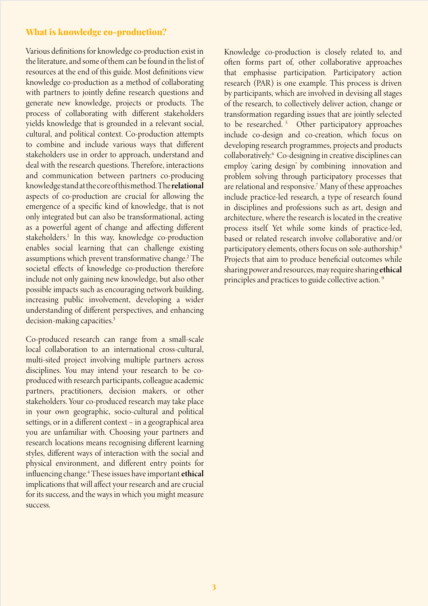### What is knowledge co-production?

Various definitions for knowledge co-production exist in the literature, and some of them can be found in the list of resources at the end of this guide. Most definitions view knowledge co-production as a method of collaborating with partners to jointly define research questions and generate new knowledge, projects or products. The process of collaborating with different stakeholders yields knowledge that is grounded in a relevant social, cultural, and political context. Co-production attempts to combine and include various ways that different stakeholders use in order to approach, understand and deal with the research questions. Therefore, interactions and communication between partners co-producing knowledge stand at the core of this method. The relational aspects of co-production are crucial for allowing the emergence of a specific kind of knowledge, that is not only integrated but can also be transformational, acting as a powerful agent of change and affecting different stakeholders.<sup>1</sup> In this way, knowledge co-production enables social learning that can challenge existing assumptions which prevent transformative change.<sup>2</sup> The societal effects of knowledge co-production therefore include not only gaining new knowledge, but also other possible impacts such as encouraging network building, increasing public involvement, developing a wider understanding of different perspectives, and enhancing decision-making capacities.<sup>3</sup>

Co-produced research can range from a small-scale local collaboration to an international cross-cultural, multi-sited project involving multiple partners across disciplines. You may intend your research to be coproduced with research participants, colleague academic partners, practitioners, decision makers, or other stakeholders. Your co-produced research may take place in your own geographic, socio-cultural and political settings, or in a different context – in a geographical area you are unfamiliar with. Choosing your partners and research locations means recognising different learning styles, different ways of interaction with the social and physical environment, and different entry points for influencing change.<sup>4</sup> These issues have important ethical implications that will affect your research and are crucial for its success, and the ways in which you might measure success.

Knowledge co-production is closely related to, and often forms part of, other collaborative approaches that emphasise participation. Participatory action research (PAR) is one example. This process is driven by participants, which are involved in devising all stages of the research, to collectively deliver action, change or transformation regarding issues that are jointly selected to be researched.<sup>5</sup> Other participatory approaches include co-design and co-creation, which focus on developing research programmes, projects and products collaboratively.6 Co-designing in creative disciplines can employ 'caring design' by combining innovation and problem solving through participatory processes that are relational and responsive.7 Many of these approaches include practice-led research, a type of research found in disciplines and professions such as art, design and architecture, where the research is located in the creative process itself. Yet while some kinds of practice-led, based or related research involve collaborative and/or participatory elements, others focus on sole-authorship.8 Projects that aim to produce beneficial outcomes while sharing power and resources, may require sharing ethical principles and practices to guide collective action. 9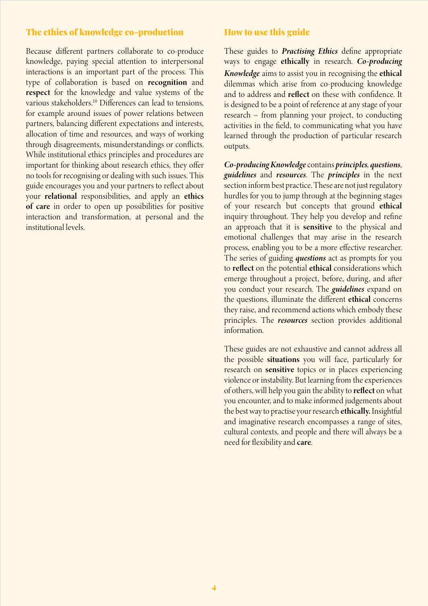### The ethics of knowledge co-production

Because different partners collaborate to co-produce knowledge, paying special attention to interpersonal interactions is an important part of the process. This type of collaboration is based on recognition and respect for the knowledge and value systems of the various stakeholders.10 Differences can lead to tensions, for example around issues of power relations between partners, balancing different expectations and interests, allocation of time and resources, and ways of working through disagreements, misunderstandings or conflicts. While institutional ethics principles and procedures are important for thinking about research ethics, they offer no tools for recognising or dealing with such issues. This guide encourages you and your partners to reflect about your relational responsibilities, and apply an ethics of care in order to open up possibilities for positive interaction and transformation, at personal and the institutional levels.

### How to use this guide

These guides to *Practising Ethics* define appropriate ways to engage ethically in research. *Co-producing Knowledge* aims to assist you in recognising the ethical dilemmas which arise from co-producing knowledge and to address and reflect on these with confidence. It is designed to be a point of reference at any stage of your research – from planning your project, to conducting activities in the field, to communicating what you have learned through the production of particular research outputs.

*Co-producing Knowledge* contains *principles, questions*, *guidelines* and *resources*. The *principles* in the next section inform best practice. These are not just regulatory hurdles for you to jump through at the beginning stages of your research but concepts that ground ethical inquiry throughout. They help you develop and refine an approach that it is sensitive to the physical and emotional challenges that may arise in the research process, enabling you to be a more effective researcher. The series of guiding *questions* act as prompts for you to reflect on the potential ethical considerations which emerge throughout a project, before, during, and after you conduct your research. The *guidelines* expand on the questions, illuminate the different ethical concerns they raise, and recommend actions which embody these principles. The *resources* section provides additional information.

These guides are not exhaustive and cannot address all the possible situations you will face, particularly for research on sensitive topics or in places experiencing violence or instability. But learning from the experiences of others, will help you gain the ability to reflect on what you encounter, and to make informed judgements about the best way to practise your research ethically. Insightful and imaginative research encompasses a range of sites, cultural contexts, and people and there will always be a need for flexibility and care.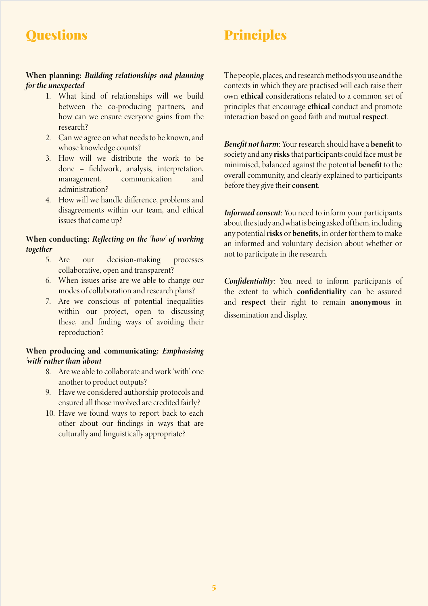## **Questions**

# Principles

### When planning: *Building relationships and planning for the unexpected*

- 1. What kind of relationships will we build between the co-producing partners, and how can we ensure everyone gains from the research?
- 2. Can we agree on what needs to be known, and whose knowledge counts?
- 3. How will we distribute the work to be done – fieldwork, analysis, interpretation, management, communication and administration?
- 4. How will we handle difference, problems and disagreements within our team, and ethical issues that come up?

### When conducting: *Reflecting on the 'how' of working together*

- 5. Are our decision-making processes collaborative, open and transparent?
- 6. When issues arise are we able to change our modes of collaboration and research plans?
- 7. Are we conscious of potential inequalities within our project, open to discussing these, and finding ways of avoiding their reproduction?

### When producing and communicating: *Emphasising 'with' rather than 'about*

- 8. Are we able to collaborate and work 'with' one another to product outputs?
- 9. Have we considered authorship protocols and ensured all those involved are credited fairly?
- 10. Have we found ways to report back to each other about our findings in ways that are culturally and linguistically appropriate?

The people, places, and research methods you use and the contexts in which they are practised will each raise their own ethical considerations related to a common set of principles that encourage ethical conduct and promote interaction based on good faith and mutual respect.

*Benefit not harm*: Your research should have a benefit to society and any risks that participants could face must be minimised, balanced against the potential benefit to the overall community, and clearly explained to participants before they give their consent.

*Informed consent*: You need to inform your participants about the study and what is being asked of them, including any potential risks or benefits, in order for them to make an informed and voluntary decision about whether or not to participate in the research.

*Confidentiality:* You need to inform participants of the extent to which confidentiality can be assured and respect their right to remain anonymous in dissemination and display.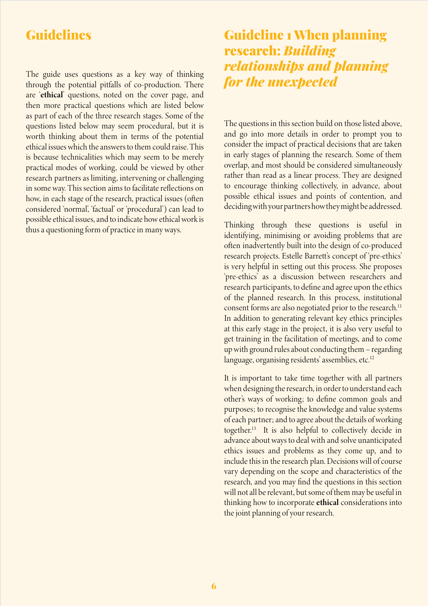### Guidelines

The guide uses questions as a key way of thinking through the potential pitfalls of co-production. There are 'ethical' questions, noted on the cover page, and then more practical questions which are listed below as part of each of the three research stages. Some of the questions listed below may seem procedural, but it is worth thinking about them in terms of the potential ethical issues which the answers to them could raise. This is because technicalities which may seem to be merely practical modes of working, could be viewed by other research partners as limiting, intervening or challenging in some way. This section aims to facilitate reflections on how, in each stage of the research, practical issues (often considered 'normal', 'factual' or 'procedural') can lead to possible ethical issues, and to indicate how ethical work is thus a questioning form of practice in many ways.

## Guideline 1 When planning research: *Building relationships and planning for the unexpected*

The questions in this section build on those listed above, and go into more details in order to prompt you to consider the impact of practical decisions that are taken in early stages of planning the research. Some of them overlap, and most should be considered simultaneously rather than read as a linear process. They are designed to encourage thinking collectively, in advance, about possible ethical issues and points of contention, and deciding with your partners how they might be addressed.

Thinking through these questions is useful in identifying, minimising or avoiding problems that are often inadvertently built into the design of co-produced research projects. Estelle Barrett's concept of 'pre-ethics' is very helpful in setting out this process. She proposes 'pre-ethics' as a discussion between researchers and research participants, to define and agree upon the ethics of the planned research. In this process, institutional consent forms are also negotiated prior to the research.<sup>11</sup> In addition to generating relevant key ethics principles at this early stage in the project, it is also very useful to get training in the facilitation of meetings, and to come up with ground rules about conducting them – regarding language, organising residents' assemblies, etc.<sup>12</sup>

It is important to take time together with all partners when designing the research, in order to understand each other's ways of working; to define common goals and purposes; to recognise the knowledge and value systems of each partner; and to agree about the details of working together.13 It is also helpful to collectively decide in advance about ways to deal with and solve unanticipated ethics issues and problems as they come up, and to include this in the research plan. Decisions will of course vary depending on the scope and characteristics of the research, and you may find the questions in this section will not all be relevant, but some of them may be useful in thinking how to incorporate ethical considerations into the joint planning of your research.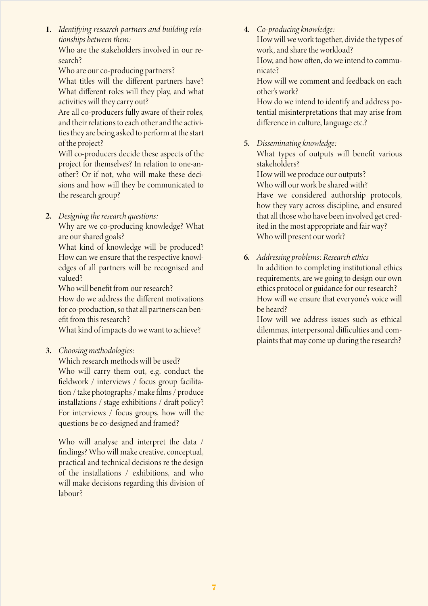1. *Identifying research partners and building relationships between them:*

Who are the stakeholders involved in our research?

Who are our co-producing partners?

What titles will the different partners have? What different roles will they play, and what activities will they carry out?

Are all co-producers fully aware of their roles, and their relations to each other and the activities they are being asked to perform at the start of the project?

Will co-producers decide these aspects of the project for themselves? In relation to one-another? Or if not, who will make these decisions and how will they be communicated to the research group?

2. *Designing the research questions:* 

Why are we co-producing knowledge? What are our shared goals?

What kind of knowledge will be produced? How can we ensure that the respective knowledges of all partners will be recognised and valued?

Who will benefit from our research? How do we address the different motivations for co-production, so that all partners can benefit from this research?

What kind of impacts do we want to achieve?

3. *Choosing methodologies:*

Which research methods will be used? Who will carry them out, e.g. conduct the fieldwork / interviews / focus group facilitation / take photographs / make films / produce installations / stage exhibitions / draft policy? For interviews / focus groups, how will the questions be co-designed and framed?

Who will analyse and interpret the data / findings? Who will make creative, conceptual, practical and technical decisions re the design of the installations / exhibitions, and who will make decisions regarding this division of labour?

4. *Co-producing knowledge:*

How will we work together, divide the types of work, and share the workload?

How, and how often, do we intend to communicate?

How will we comment and feedback on each other's work?

How do we intend to identify and address potential misinterpretations that may arise from difference in culture, language etc.?

5. *Disseminating knowledge:*

What types of outputs will benefit various stakeholders?

How will we produce our outputs? Who will our work be shared with? Have we considered authorship protocols, how they vary across discipline, and ensured that all those who have been involved get credited in the most appropriate and fair way? Who will present our work?

6. *Addressing problems: Research ethics* In addition to completing institutional ethics requirements, are we going to design our own ethics protocol or guidance for our research? How will we ensure that everyone's voice will be heard?

How will we address issues such as ethical dilemmas, interpersonal difficulties and complaints that may come up during the research?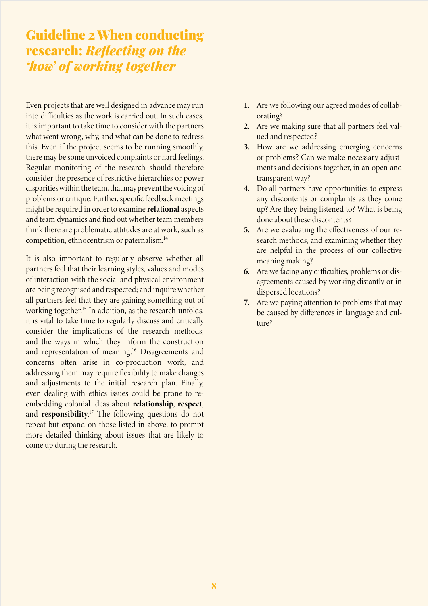## Guideline 2 When conducting research: *Reflecting on the 'how' of working together*

Even projects that are well designed in advance may run into difficulties as the work is carried out. In such cases, it is important to take time to consider with the partners what went wrong, why, and what can be done to redress this. Even if the project seems to be running smoothly, there may be some unvoiced complaints or hard feelings. Regular monitoring of the research should therefore consider the presence of restrictive hierarchies or power disparities within the team, that may prevent the voicing of problems or critique. Further, specific feedback meetings might be required in order to examine relational aspects and team dynamics and find out whether team members think there are problematic attitudes are at work, such as competition, ethnocentrism or paternalism.14

It is also important to regularly observe whether all partners feel that their learning styles, values and modes of interaction with the social and physical environment are being recognised and respected; and inquire whether all partners feel that they are gaining something out of working together.<sup>15</sup> In addition, as the research unfolds, it is vital to take time to regularly discuss and critically consider the implications of the research methods, and the ways in which they inform the construction and representation of meaning.<sup>16</sup> Disagreements and concerns often arise in co-production work, and addressing them may require flexibility to make changes and adjustments to the initial research plan. Finally, even dealing with ethics issues could be prone to reembedding colonial ideas about relationship, respect, and responsibility.<sup>17</sup> The following questions do not repeat but expand on those listed in above, to prompt more detailed thinking about issues that are likely to come up during the research.

- 1. Are we following our agreed modes of collaborating?
- 2. Are we making sure that all partners feel valued and respected?
- 3. How are we addressing emerging concerns or problems? Can we make necessary adjustments and decisions together, in an open and transparent way?
- 4. Do all partners have opportunities to express any discontents or complaints as they come up? Are they being listened to? What is being done about these discontents?
- 5. Are we evaluating the effectiveness of our research methods, and examining whether they are helpful in the process of our collective meaning making?
- 6. Are we facing any difficulties, problems or disagreements caused by working distantly or in dispersed locations?
- 7. Are we paying attention to problems that may be caused by differences in language and culture?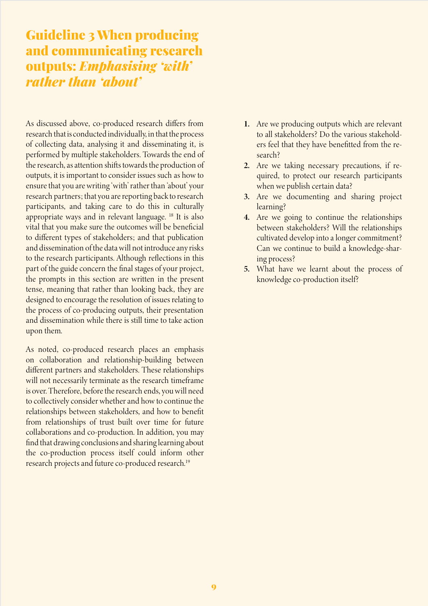## Guideline 3 When producing and communicating research outputs: *Emphasising 'with' rather than 'about'*

As discussed above, co-produced research differs from research that is conducted individually, in that the process of collecting data, analysing it and disseminating it, is performed by multiple stakeholders. Towards the end of the research, as attention shifts towards the production of outputs, it is important to consider issues such as how to ensure that you are writing 'with' rather than 'about' your research partners; that you are reporting back to research participants, and taking care to do this in culturally appropriate ways and in relevant language. 18 It is also vital that you make sure the outcomes will be beneficial to different types of stakeholders; and that publication and dissemination of the data will not introduce any risks to the research participants. Although reflections in this part of the guide concern the final stages of your project, the prompts in this section are written in the present tense, meaning that rather than looking back, they are designed to encourage the resolution of issues relating to the process of co-producing outputs, their presentation and dissemination while there is still time to take action upon them.

As noted, co-produced research places an emphasis on collaboration and relationship-building between different partners and stakeholders. These relationships will not necessarily terminate as the research timeframe is over. Therefore, before the research ends, you will need to collectively consider whether and how to continue the relationships between stakeholders, and how to benefit from relationships of trust built over time for future collaborations and co-production. In addition, you may find that drawing conclusions and sharing learning about the co-production process itself could inform other research projects and future co-produced research.19

- 1. Are we producing outputs which are relevant to all stakeholders? Do the various stakeholders feel that they have benefitted from the research?
- 2. Are we taking necessary precautions, if required, to protect our research participants when we publish certain data?
- 3. Are we documenting and sharing project learning?
- 4. Are we going to continue the relationships between stakeholders? Will the relationships cultivated develop into a longer commitment? Can we continue to build a knowledge-sharing process?
- 5. What have we learnt about the process of knowledge co-production itself?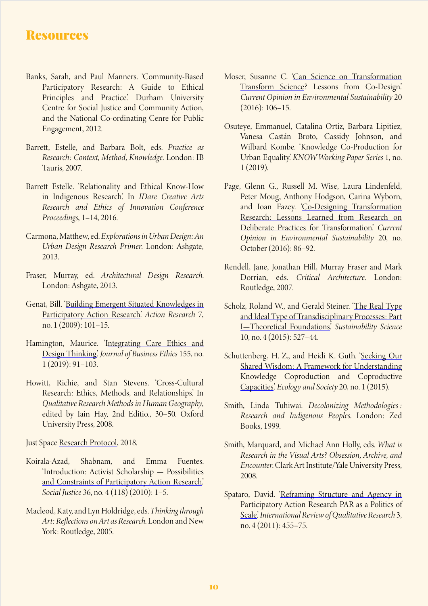### Resources

- Banks, Sarah, and Paul Manners. 'Community-Based Participatory Research: A Guide to Ethical Principles and Practice.' Durham University Centre for Social Justice and Community Action, and the National Co-ordinating Cenre for Public Engagement, 2012.
- Barrett, Estelle, and Barbara Bolt, eds. *Practice as Research: Context, Method, Knowledge.* London: IB Tauris, 2007.
- Barrett Estelle. 'Relationality and Ethical Know-How in Indigenous Research.' In *IDare Creative Arts Research and Ethics of Innovation Conference Proceedings*, 1–14, 2016.
- Carmona, Matthew, ed. *Explorations in Urban Design: An Urban Design Research Primer*. London: Ashgate, 2013.
- Fraser, Murray, ed. *Architectural Design Research*. London: Ashgate, 2013.
- Genat, Bill. ['Building Emergent Situated Knowledges in](https://doi.org/10.1177/1476750308099600) [Participatory Action Research](https://doi.org/10.1177/1476750308099600).' *Action Research* 7, no. 1 (2009): 101–15.
- Hamington, Maurice. '[Integrating Care Ethics and](https://doi.org/10.1007/s10551-017-3522-6) [Design Thinking.'](https://doi.org/10.1007/s10551-017-3522-6) *Journal of Business Ethics* 155, no. 1 (2019): 91–103.
- Howitt, Richie, and Stan Stevens. 'Cross-Cultural Research: Ethics, Methods, and Relationships.' In *Qualitative Research Methods in Human Geography*, edited by Iain Hay, 2nd Editio., 30–50. Oxford University Press, 2008.

Just Space [Research Protocol,](https://justspacelondon.files.wordpress.com/2018/06/research-protocol-2018.pdf.) 2018.

- Koirala-Azad, Shabnam, and Emma Fuentes. '[Introduction: Activist Scholarship — Possibilities](https://doi.org/10.2307/29768557) [and Constraints of Participatory Action Research](https://doi.org/10.2307/29768557).' *Social Justice* 36, no. 4 (118) (2010): 1–5.
- Macleod, Katy, and Lyn Holdridge, eds.*Thinking through Art: Reflections on Art as Research*. London and New York: Routledge, 2005.
- Moser, Susanne C. '[Can Science on Transformation](https://doi.org/10.1016/j.cosust.2016.10.007) [Transform Science](https://doi.org/10.1016/j.cosust.2016.10.007)? Lessons from Co-Design. *Current Opinion in Environmental Sustainability* 20 (2016): 106–15.
- Osuteye, Emmanuel, Catalina Ortiz, Barbara Lipitiez, Vanesa Castán Broto, Cassidy Johnson, and Wilbard Kombe. 'Knowledge Co-Production for Urban Equality.' *KNOW Working Paper Series* 1, no. 1 (2019).
- Page, Glenn G., Russell M. Wise, Laura Lindenfeld, Peter Moug, Anthony Hodgson, Carina Wyborn, and Ioan Fazey. ['Co-Designing Transformation](https://doi.org/10.1016/j.cosust.2016.09.001) [Research: Lessons Learned from Research on](https://doi.org/10.1016/j.cosust.2016.09.001) [Deliberate Practices for Transformation.](https://doi.org/10.1016/j.cosust.2016.09.001)' *Current Opinion in Environmental Sustainability* 20, no. October (2016): 86–92.
- Rendell, Jane, Jonathan Hill, Murray Fraser and Mark Dorrian, eds. *Critical Architecture*. London: Routledge, 2007.
- Scholz, Roland W., and Gerald Steiner. '[The Real Type](https://doi.org/10.1007/s11625-015-0326-4) [and Ideal Type of Transdisciplinary Processes: Part](https://doi.org/10.1007/s11625-015-0326-4) [I—Theoretical Foundations](https://doi.org/10.1007/s11625-015-0326-4).' *Sustainability Science* 10, no. 4 (2015): 527–44.
- Schuttenberg, H. Z., and Heidi K. Guth. '[Seeking Our](https://doi.org/10.5751/ES-07038-200115) [Shared Wisdom: A Framework for Understanding](https://doi.org/10.5751/ES-07038-200115) [Knowledge Coproduction and Coproductive](https://doi.org/10.5751/ES-07038-200115) [Capacities.](https://doi.org/10.5751/ES-07038-200115)' *Ecology and Society* 20, no. 1 (2015).
- Smith, Linda Tuhiwai. *Decolonizing Methodologies : Research and Indigenous Peoples*. London: Zed Books, 1999.
- Smith, Marquard, and Michael Ann Holly, eds. *What is Research in the Visual Arts? Obsession, Archive, and Encounter*. Clark Art Institute/Yale University Press, 2008.
- Spataro, David. ['Reframing Structure and Agency in](http://www.jstor.org/stable/10.1525/irqr.2011.3.4.455) [Participatory Action Research PAR as a Politics of](http://www.jstor.org/stable/10.1525/irqr.2011.3.4.455) [Scale.'](http://www.jstor.org/stable/10.1525/irqr.2011.3.4.455) *International Review of Qualitative Research* 3, no. 4 (2011): 455–75.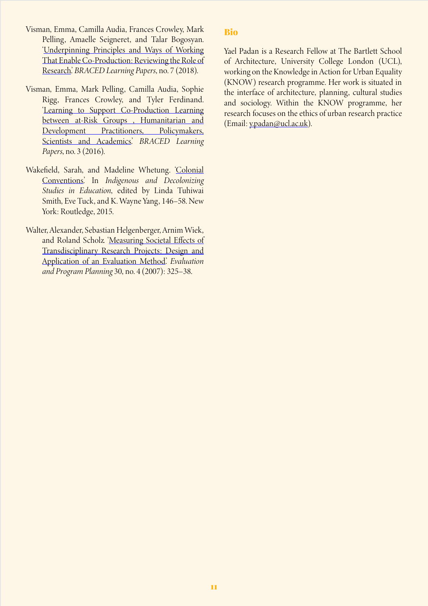- Visman, Emma, Camilla Audia, Frances Crowley, Mark Pelling, Amaelle Seigneret, and Talar Bogosyan. '[Underpinning Principles and Ways of Working](http://www.braced.org/resources/i/ways-of-working-enable-coproduction) [That Enable Co-Production: Reviewing the Role of](http://www.braced.org/resources/i/ways-of-working-enable-coproduction) [Research.](http://www.braced.org/resources/i/ways-of-working-enable-coproduction)' *BRACED Learning Papers*, no. 7 (2018).
- Visman, Emma, Mark Pelling, Camilla Audia, Sophie Rigg, Frances Crowley, and Tyler Ferdinand. '[Learning to Support Co-Production Learning](http://www.braced.org/resources/i/?id=f69880ae-f10f-4a51-adb5-fb2a9696b44d) [between at-Risk Groups , Humanitarian and](http://www.braced.org/resources/i/?id=f69880ae-f10f-4a51-adb5-fb2a9696b44d) [Development Practitioners, Policymakers,](http://www.braced.org/resources/i/?id=f69880ae-f10f-4a51-adb5-fb2a9696b44d) [Scientists and Academics.'](http://www.braced.org/resources/i/?id=f69880ae-f10f-4a51-adb5-fb2a9696b44d) *BRACED Learning Papers*, no. 3 (2016).
- Wakefield, Sarah, and Madeline Whetung. ['Colonial](https://doi.org/https:/doi-org.libproxy.ucl.ac.uk/10.4324/9780429505010) [Conventions](https://doi.org/https:/doi-org.libproxy.ucl.ac.uk/10.4324/9780429505010).' In *Indigenous and Decolonizing Studies in Education*, edited by Linda Tuhiwai Smith, Eve Tuck, and K. Wayne Yang, 146–58. New York: Routledge, 2015.
- Walter, Alexander, Sebastian Helgenberger, Arnim Wiek, and Roland Scholz. ['Measuring Societal Effects of](https://doi.org/10.1016/j.evalprogplan.2007.08.002) [Transdisciplinary Research Projects: Design and](https://doi.org/10.1016/j.evalprogplan.2007.08.002) [Application of an Evaluation Method](https://doi.org/10.1016/j.evalprogplan.2007.08.002).' *Evaluation and Program Planning* 30, no. 4 (2007): 325–38.

#### Bio

Yael Padan is a Research Fellow at The Bartlett School of Architecture, University College London (UCL), working on the Knowledge in Action for Urban Equality (KNOW) research programme. Her work is situated in the interface of architecture, planning, cultural studies and sociology. Within the KNOW programme, her research focuses on the ethics of urban research practice (Email: [y.padan@ucl.ac.uk](mailto:y.padan%40ucl.ac.uk?subject=)).